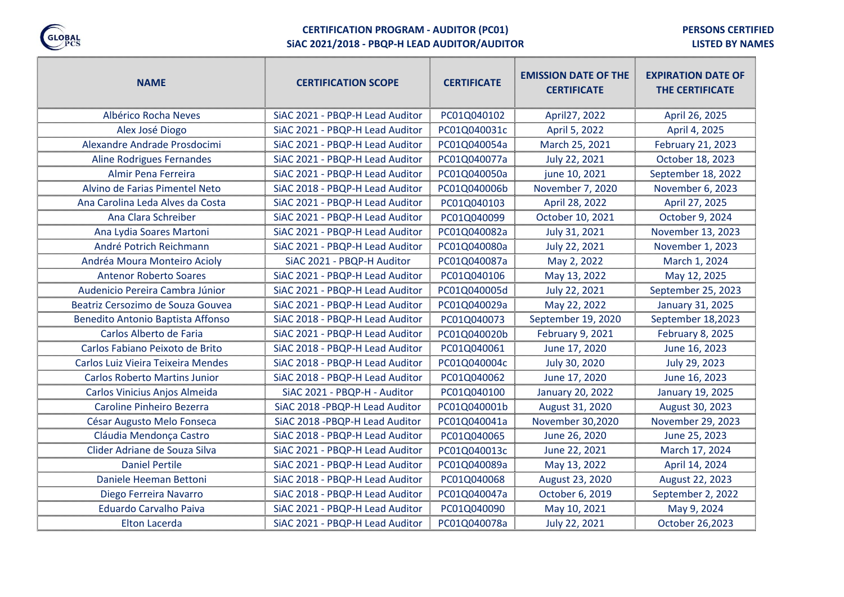

# **CERTIFICATION PROGRAM - AUDITOR (PC01)**

**PERSONS CERTIFIED**

eng.<br>T

**SiAC 2021/2018 - PBQP-H LEAD AUDITOR/AUDITOR**

ungun

**LISTED BY NAMES**

| <b>NAME</b>                          | <b>CERTIFICATION SCOPE</b>      | <b>CERTIFICATE</b> | <b>EMISSION DATE OF THE</b><br><b>CERTIFICATE</b> | <b>EXPIRATION DATE OF</b><br><b>THE CERTIFICATE</b> |
|--------------------------------------|---------------------------------|--------------------|---------------------------------------------------|-----------------------------------------------------|
| Albérico Rocha Neves                 | SiAC 2021 - PBQP-H Lead Auditor | PC01Q040102        | April27, 2022                                     | April 26, 2025                                      |
| Alex José Diogo                      | SiAC 2021 - PBQP-H Lead Auditor | PC01Q040031c       | April 5, 2022                                     | April 4, 2025                                       |
| Alexandre Andrade Prosdocimi         | SiAC 2021 - PBQP-H Lead Auditor | PC01Q040054a       | March 25, 2021                                    | February 21, 2023                                   |
| <b>Aline Rodrigues Fernandes</b>     | SiAC 2021 - PBQP-H Lead Auditor | PC01Q040077a       | July 22, 2021                                     | October 18, 2023                                    |
| Almir Pena Ferreira                  | SiAC 2021 - PBQP-H Lead Auditor | PC01Q040050a       | june 10, 2021                                     | September 18, 2022                                  |
| Alvino de Farias Pimentel Neto       | SiAC 2018 - PBQP-H Lead Auditor | PC01Q040006b       | November 7, 2020                                  | November 6, 2023                                    |
| Ana Carolina Leda Alves da Costa     | SiAC 2021 - PBQP-H Lead Auditor | PC01Q040103        | April 28, 2022                                    | April 27, 2025                                      |
| Ana Clara Schreiber                  | SiAC 2021 - PBQP-H Lead Auditor | PC01Q040099        | October 10, 2021                                  | October 9, 2024                                     |
| Ana Lydia Soares Martoni             | SiAC 2021 - PBQP-H Lead Auditor | PC01Q040082a       | July 31, 2021                                     | November 13, 2023                                   |
| André Potrich Reichmann              | SiAC 2021 - PBQP-H Lead Auditor | PC01Q040080a       | July 22, 2021                                     | November 1, 2023                                    |
| Andréa Moura Monteiro Acioly         | SiAC 2021 - PBQP-H Auditor      | PC01Q040087a       | May 2, 2022                                       | March 1, 2024                                       |
| <b>Antenor Roberto Soares</b>        | SiAC 2021 - PBQP-H Lead Auditor | PC01Q040106        | May 13, 2022                                      | May 12, 2025                                        |
| Audenicio Pereira Cambra Júnior      | SiAC 2021 - PBQP-H Lead Auditor | PC01Q040005d       | July 22, 2021                                     | September 25, 2023                                  |
| Beatriz Cersozimo de Souza Gouvea    | SiAC 2021 - PBQP-H Lead Auditor | PC01Q040029a       | May 22, 2022                                      | January 31, 2025                                    |
| Benedito Antonio Baptista Affonso    | SiAC 2018 - PBQP-H Lead Auditor | PC01Q040073        | September 19, 2020                                | September 18,2023                                   |
| Carlos Alberto de Faria              | SiAC 2021 - PBQP-H Lead Auditor | PC01Q040020b       | February 9, 2021                                  | February 8, 2025                                    |
| Carlos Fabiano Peixoto de Brito      | SiAC 2018 - PBQP-H Lead Auditor | PC01Q040061        | June 17, 2020                                     | June 16, 2023                                       |
| Carlos Luiz Vieira Teixeira Mendes   | SiAC 2018 - PBQP-H Lead Auditor | PC01Q040004c       | July 30, 2020                                     | July 29, 2023                                       |
| <b>Carlos Roberto Martins Junior</b> | SiAC 2018 - PBQP-H Lead Auditor | PC01Q040062        | June 17, 2020                                     | June 16, 2023                                       |
| Carlos Vinicius Anjos Almeida        | SiAC 2021 - PBQP-H - Auditor    | PC01Q040100        | <b>January 20, 2022</b>                           | January 19, 2025                                    |
| Caroline Pinheiro Bezerra            | SiAC 2018 - PBQP-H Lead Auditor | PC01Q040001b       | August 31, 2020                                   | August 30, 2023                                     |
| César Augusto Melo Fonseca           | SiAC 2018 - PBQP-H Lead Auditor | PC01Q040041a       | November 30,2020                                  | November 29, 2023                                   |
| Cláudia Mendonça Castro              | SiAC 2018 - PBQP-H Lead Auditor | PC01Q040065        | June 26, 2020                                     | June 25, 2023                                       |
| Clider Adriane de Souza Silva        | SiAC 2021 - PBQP-H Lead Auditor | PC01Q040013c       | June 22, 2021                                     | March 17, 2024                                      |
| <b>Daniel Pertile</b>                | SiAC 2021 - PBQP-H Lead Auditor | PC01Q040089a       | May 13, 2022                                      | April 14, 2024                                      |
| Daniele Heeman Bettoni               | SiAC 2018 - PBQP-H Lead Auditor | PC01Q040068        | August 23, 2020                                   | August 22, 2023                                     |
| Diego Ferreira Navarro               | SiAC 2018 - PBQP-H Lead Auditor | PC01Q040047a       | October 6, 2019                                   | September 2, 2022                                   |
| <b>Eduardo Carvalho Paiva</b>        | SiAC 2021 - PBQP-H Lead Auditor | PC01Q040090        | May 10, 2021                                      | May 9, 2024                                         |
| Elton Lacerda                        | SiAC 2021 - PBQP-H Lead Auditor | PC01Q040078a       | July 22, 2021                                     | October 26,2023                                     |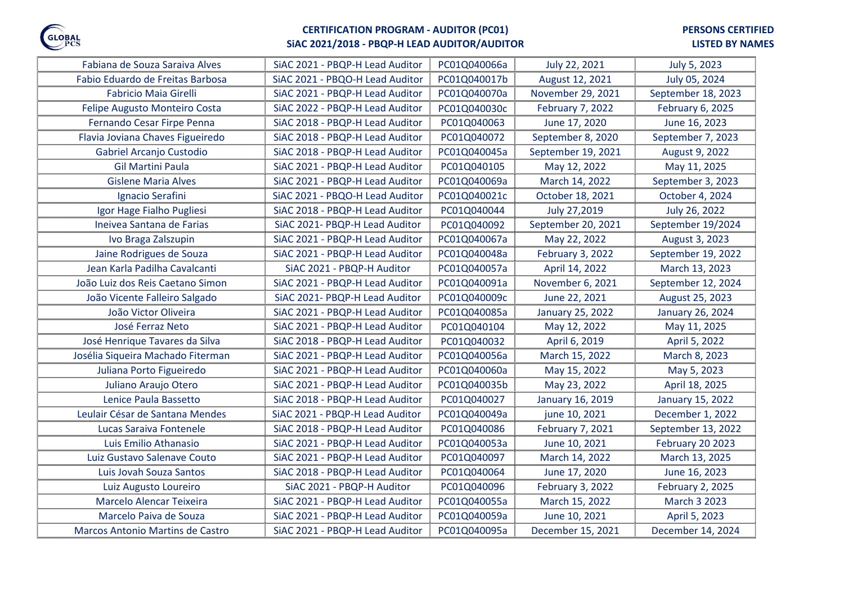

## **CERTIFICATION PROGRAM - AUDITOR (PC01)**

# **SiAC 2021/2018 - PBQP-H LEAD AUDITOR/AUDITOR**

### **LISTED BY NAMES**

| Fabiana de Souza Saraiva Alves    | SiAC 2021 - PBQP-H Lead Auditor | PC01Q040066a | July 22, 2021           | July 5, 2023       |
|-----------------------------------|---------------------------------|--------------|-------------------------|--------------------|
| Fabio Eduardo de Freitas Barbosa  | SiAC 2021 - PBQO-H Lead Auditor | PC01Q040017b | August 12, 2021         | July 05, 2024      |
| <b>Fabricio Maia Girelli</b>      | SiAC 2021 - PBQP-H Lead Auditor | PC01Q040070a | November 29, 2021       | September 18, 2023 |
| Felipe Augusto Monteiro Costa     | SiAC 2022 - PBQP-H Lead Auditor | PC01Q040030c | February 7, 2022        | February 6, 2025   |
| Fernando Cesar Firpe Penna        | SiAC 2018 - PBQP-H Lead Auditor | PC01Q040063  | June 17, 2020           | June 16, 2023      |
| Flavia Joviana Chaves Figueiredo  | SiAC 2018 - PBQP-H Lead Auditor | PC01Q040072  | September 8, 2020       | September 7, 2023  |
| Gabriel Arcanjo Custodio          | SiAC 2018 - PBQP-H Lead Auditor | PC01Q040045a | September 19, 2021      | August 9, 2022     |
| <b>Gil Martini Paula</b>          | SiAC 2021 - PBQP-H Lead Auditor | PC01Q040105  | May 12, 2022            | May 11, 2025       |
| <b>Gislene Maria Alves</b>        | SiAC 2021 - PBQP-H Lead Auditor | PC01Q040069a | March 14, 2022          | September 3, 2023  |
| Ignacio Serafini                  | SiAC 2021 - PBQO-H Lead Auditor | PC01Q040021c | October 18, 2021        | October 4, 2024    |
| Igor Hage Fialho Pugliesi         | SiAC 2018 - PBQP-H Lead Auditor | PC01Q040044  | July 27,2019            | July 26, 2022      |
| Ineivea Santana de Farias         | SiAC 2021- PBQP-H Lead Auditor  | PC01Q040092  | September 20, 2021      | September 19/2024  |
| Ivo Braga Zalszupin               | SiAC 2021 - PBQP-H Lead Auditor | PC01Q040067a | May 22, 2022            | August 3, 2023     |
| Jaine Rodrigues de Souza          | SiAC 2021 - PBQP-H Lead Auditor | PC01Q040048a | February 3, 2022        | September 19, 2022 |
| Jean Karla Padilha Cavalcanti     | SiAC 2021 - PBQP-H Auditor      | PC01Q040057a | April 14, 2022          | March 13, 2023     |
| João Luiz dos Reis Caetano Simon  | SiAC 2021 - PBQP-H Lead Auditor | PC01Q040091a | November 6, 2021        | September 12, 2024 |
| João Vicente Falleiro Salgado     | SiAC 2021- PBQP-H Lead Auditor  | PC01Q040009c | June 22, 2021           | August 25, 2023    |
| João Victor Oliveira              | SiAC 2021 - PBQP-H Lead Auditor | PC01Q040085a | January 25, 2022        | January 26, 2024   |
| José Ferraz Neto                  | SiAC 2021 - PBQP-H Lead Auditor | PC01Q040104  | May 12, 2022            | May 11, 2025       |
| José Henrique Tavares da Silva    | SiAC 2018 - PBQP-H Lead Auditor | PC01Q040032  | April 6, 2019           | April 5, 2022      |
| Josélia Siqueira Machado Fiterman | SiAC 2021 - PBQP-H Lead Auditor | PC01Q040056a | March 15, 2022          | March 8, 2023      |
| Juliana Porto Figueiredo          | SiAC 2021 - PBQP-H Lead Auditor | PC01Q040060a | May 15, 2022            | May 5, 2023        |
| Juliano Araujo Otero              | SiAC 2021 - PBQP-H Lead Auditor | PC01Q040035b | May 23, 2022            | April 18, 2025     |
| Lenice Paula Bassetto             | SiAC 2018 - PBQP-H Lead Auditor | PC01Q040027  | January 16, 2019        | January 15, 2022   |
| Leulair César de Santana Mendes   | SiAC 2021 - PBQP-H Lead Auditor | PC01Q040049a | june 10, 2021           | December 1, 2022   |
| Lucas Saraiva Fontenele           | SiAC 2018 - PBQP-H Lead Auditor | PC01Q040086  | <b>February 7, 2021</b> | September 13, 2022 |
| Luis Emilio Athanasio             | SiAC 2021 - PBQP-H Lead Auditor | PC01Q040053a | June 10, 2021           | February 20 2023   |
| Luiz Gustavo Salenave Couto       | SiAC 2021 - PBQP-H Lead Auditor | PC01Q040097  | March 14, 2022          | March 13, 2025     |
| Luis Jovah Souza Santos           | SiAC 2018 - PBQP-H Lead Auditor | PC01Q040064  | June 17, 2020           | June 16, 2023      |
| Luiz Augusto Loureiro             | SiAC 2021 - PBQP-H Auditor      | PC01Q040096  | February 3, 2022        | February 2, 2025   |
| Marcelo Alencar Teixeira          | SiAC 2021 - PBQP-H Lead Auditor | PC01Q040055a | March 15, 2022          | March 3 2023       |
| Marcelo Paiva de Souza            | SiAC 2021 - PBQP-H Lead Auditor | PC01Q040059a | June 10, 2021           | April 5, 2023      |
| Marcos Antonio Martins de Castro  | SiAC 2021 - PBQP-H Lead Auditor | PC01Q040095a | December 15, 2021       | December 14, 2024  |
|                                   |                                 |              |                         |                    |